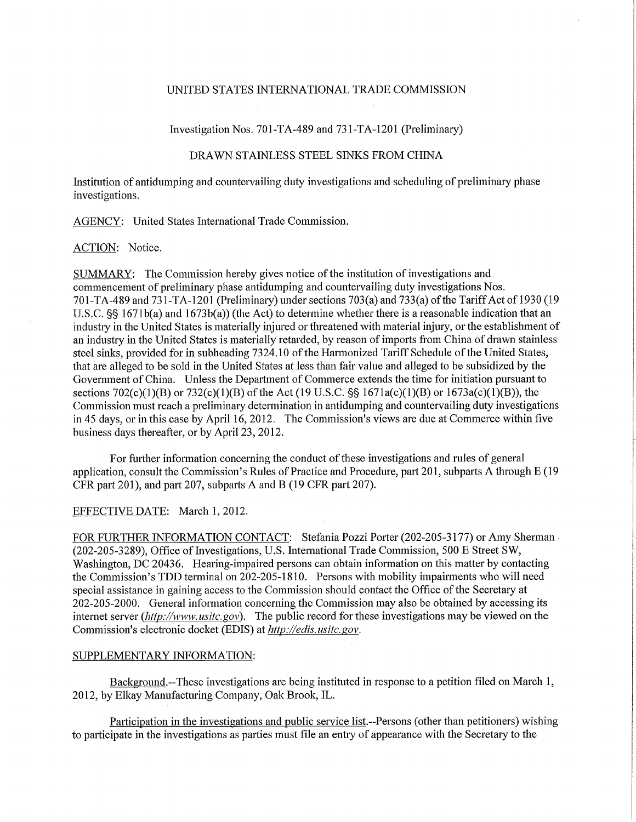# UNITED STATES INTERNATIONAL TRADE COMMISSION

Investigation Nos. 701-TA-489 and 731-TA-1201 (Preliminary)

# DRAWN STAINLESS STEEL SINKS FROM CHINA

Institution of antidumping and countervailing duty investigations and scheduling of preliminary phase investigations.

AGENCY: United States International Trade Commission.

### ACTION: Notice.

SUMMARY: The Commission hereby gives notice of the institution of investigations and commencement of preliminary phase antidumping and countervailing duty investigations Nos. 701-TA-489 and 731-TA-1201 (Preliminary) under sections 703(a) and 733(a) of the Tariff Act of 1930 (19 U.S.C. §§ 1671b(a) and 1673b(a)) (the Act) to determine whether there is a reasonable indication that an industry in the United States is materially injured or threatened with material injury, or the establishment of an industry in the United States is materially retarded, by reason of imports from China of drawn stainless steel sinks, provided for in subheading 7324.10 of the Harmonized Tariff Schedule of the United States, that are alleged to be sold in the United States at less than fair value and alleged to be subsidized by the Government of China. Unless the Department of Commerce extends the time for initiation pursuant to sections 702(c)(1)(B) or 732(c)(1)(B) of the Act (19 U.S.C. §§ 1671a(c)(1)(B) or 1673a(c)(1)(B)), the Commission must reach a preliminary determination in antidumping and countervailing duty investigations in 45 days, or in this case by April 16, 2012. The Commission's views are due at Commerce within five business days thereafter, or by April 23, 2012.

For further information concerning the conduct of these investigations and rules of general application, consult the Commission's Rules of Practice and Procedure, part 201, subparts A through E (19 CFR part 201), and part 207, subparts A and B (19 CFR part 207).

### EFFECTIVE DATE: March 1, 2012.

FOR FURTHER INFORMATION CONTACT: Stefania Pozzi Porter (202-205-3177) or Amy Sherman (202-205-3289), Office of Investigations, U.S. International Trade Commission, 500 E Street SW, Washington, DC 20436. Hearing-impaired persons can obtain information on this matter by contacting the Commission's TDD terminal on 202-205-1810. Persons with mobility impairments who will need special assistance in gaining access to the Commission should contact the Office of the Secretary at 202-205-2000. General information concerning the Commission may also be obtained by accessing its internet server *(http://www.usitc.gov)*. The public record for these investigations may be viewed on the Commission's electronic docket (EDIS) at *http://edis. usitc.gov.* 

### SUPPLEMENTARY INFORMATION:

Background.--These investigations are being instituted in response to a petition filed on March 1, 2012, by Elkay Manufacturing Company, Oak Brook, IL.

Participation in the investigations and public service list.—Persons (other than petitioners) wishing to participate in the investigations as parties must file an entry of appearance with the Secretary to the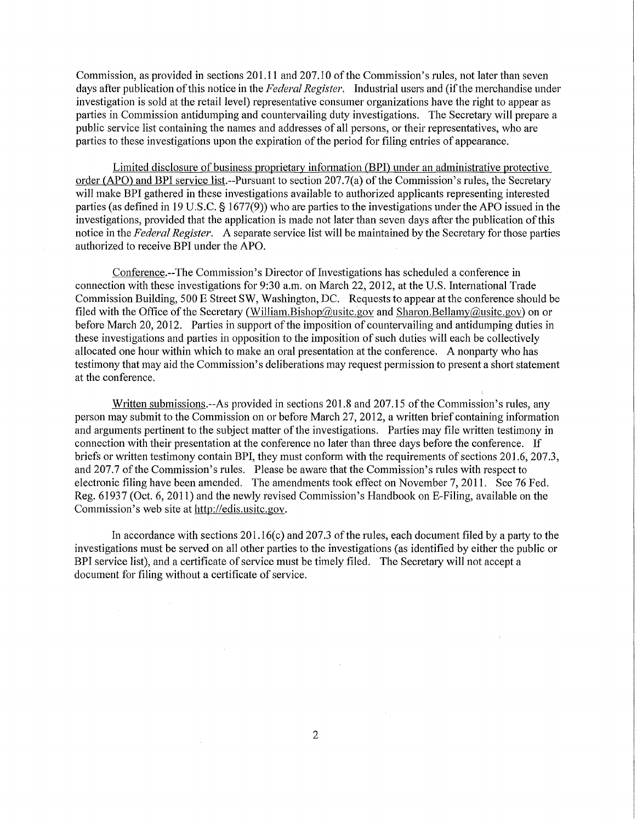Commission, as provided in sections 201.11 and 207.10 of the Commission's rules, not later than seven days after publication of this notice in the *Federal Register.* Industrial users and (if the merchandise under investigation is sold at the retail level) representative consumer organizations have the right to appear as parties in Commission antidumping and countervailing duty investigations. The Secretary will prepare a public service list containing the names and addresses of all persons, or their representatives, who are parties to these investigations upon the expiration of the period for filing entries of appearance.

Limited disclosure of business proprietary information (BPI) under an administrative protective order (APO) and BPI service list.—Pursuant to section 207.7(a) of the Commission's rules, the Secretary will make BPI gathered in these investigations available to authorized applicants representing interested parties (as defined in 19 U.S.C. § 1677(9)) who are parties to the investigations under the APO issued in the investigations, provided that the application is made not later than seven days after the publication of this notice in the *Federal Register.* A separate service list will be maintained by the Secretary for those parties authorized to receive BPI under the APO.

Conference.—The Commission's Director of Investigations has scheduled a conference in connection with these investigations for 9:30 a.m. on March 22, 2012, at the U.S. International Trade Commission Building, 500 E Street SW, Washington, DC. Requests to appear at the conference should be filed with the Office of the Secretary (William.Bishop@usitc.gov and Sharon.Bellamy@usitc.gov) on or before March 20, 2012. Parties in support of the imposition of countervailing and antidumping duties in these investigations and parties in opposition to the imposition of such duties will each be collectively allocated one hour within which to make an oral presentation at the conference. A nonparty who has testimony that may aid the Commission's deliberations may request permission to present a short statement at the conference.

Written submissions.—As provided in sections 201.8 and 207.15 of the Commission's rules, any person may submit to the Commission on or before March 27, 2012, a written brief containing information and arguments pertinent to the subject matter of the investigations. Parties may file written testimony in connection with their presentation at the conference no later than three days before the conference. If briefs or written testimony contain BPI, they must conform with the requirements of sections 201.6, 207.3, and 207.7 of the Commission's rules. Please be aware that the Commission's rules with respect to electronic filing have been amended. The amendments took effect on November 7, 2011. See 76 Fed. Reg. 61937 (Oct. 6, 2011) and the newly revised Commission's Handbook on E-Filing, available on the Commission's web site at http://edis.usitc.gov.

In accordance with sections 201.16(c) and 207.3 of the rules, each document filed by a party to the investigations must be served on all other parties to the investigations (as identified by either the public or BPI service list), and a certificate of service must be timely filed. The Secretary will not accept a document for filing without a certificate of service.

 $\sim 10^7$ 

 $\mathcal{L}$